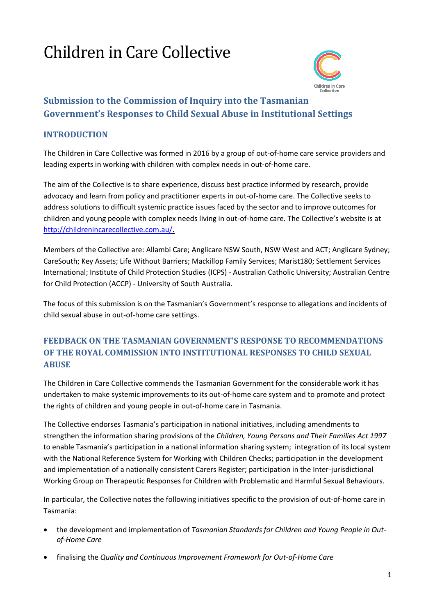# Children in Care Collective



## **Submission to the Commission of Inquiry into the Tasmanian Government's Responses to Child Sexual Abuse in Institutional Settings**

## **INTRODUCTION**

The Children in Care Collective was formed in 2016 by a group of out-of-home care service providers and leading experts in working with children with complex needs in out-of-home care.

The aim of the Collective is to share experience, discuss best practice informed by research, provide advocacy and learn from policy and practitioner experts in out-of-home care. The Collective seeks to address solutions to difficult systemic practice issues faced by the sector and to improve outcomes for children and young people with complex needs living in out-of-home care. The Collective's website is at [http://childrenincarecollective.com.au/.](http://childrenincarecollective.com.au/)

Members of the Collective are: Allambi Care; Anglicare NSW South, NSW West and ACT; Anglicare Sydney; CareSouth; Key Assets; Life Without Barriers; Mackillop Family Services; Marist180; Settlement Services International; Institute of Child Protection Studies (ICPS) - Australian Catholic University; Australian Centre for Child Protection (ACCP) - University of South Australia.

The focus of this submission is on the Tasmanian's Government's response to allegations and incidents of child sexual abuse in out-of-home care settings.

## **FEEDBACK ON THE TASMANIAN GOVERNMENT'S RESPONSE TO RECOMMENDATIONS OF THE ROYAL COMMISSION INTO INSTITUTIONAL RESPONSES TO CHILD SEXUAL ABUSE**

The Children in Care Collective commends the Tasmanian Government for the considerable work it has undertaken to make systemic improvements to its out-of-home care system and to promote and protect the rights of children and young people in out-of-home care in Tasmania.

The Collective endorses Tasmania's participation in national initiatives, including amendments to strengthen the information sharing provisions of the *Children, Young Persons and Their Families Act 1997*  to enable Tasmania's participation in a national information sharing system; integration of its local system with the National Reference System for Working with Children Checks; participation in the development and implementation of a nationally consistent Carers Register; participation in the Inter-jurisdictional Working Group on Therapeutic Responses for Children with Problematic and Harmful Sexual Behaviours.

In particular, the Collective notes the following initiatives specific to the provision of out-of-home care in Tasmania:

- the development and implementation of *Tasmanian Standards for Children and Young People in Outof-Home Care*
- finalising the *Quality and Continuous Improvement Framework for Out-of-Home Care*